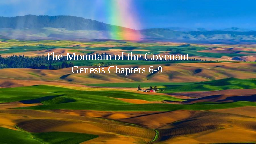## The Mountain of the Covenant Genesis Chapters 6-9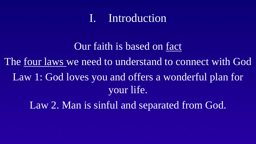## I. Introduction

Our faith is based on fact The four laws we need to understand to connect with God Law 1: God loves you and offers a wonderful plan for your life. Law 2. Man is sinful and separated from God.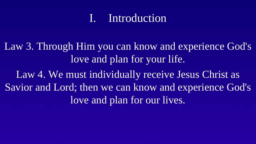## I. Introduction

Law 3. Through Him you can know and experience God's love and plan for your life.

Law 4. We must individually receive Jesus Christ as Savior and Lord; then we can know and experience God's love and plan for our lives.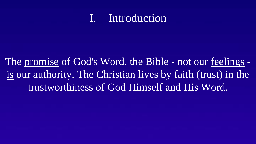## I. Introduction

The promise of God's Word, the Bible - not our feelings is our authority. The Christian lives by faith (trust) in the trustworthiness of God Himself and His Word.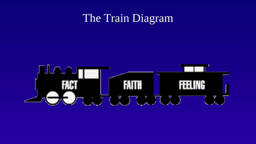### The Train Diagram

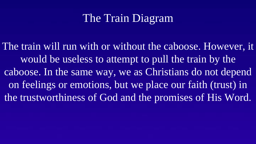## The Train Diagram

The train will run with or without the caboose. However, it would be useless to attempt to pull the train by the caboose. In the same way, we as Christians do not depend on feelings or emotions, but we place our faith (trust) in the trustworthiness of God and the promises of His Word.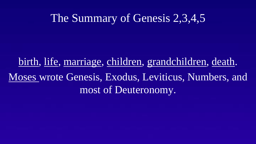### The Summary of Genesis 2,3,4,5

# birth, life, marriage, children, grandchildren, death. Moses wrote Genesis, Exodus, Leviticus, Numbers, and most of Deuteronomy.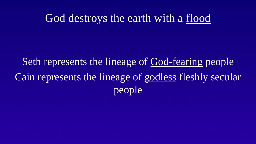## God destroys the earth with a flood

Seth represents the lineage of God-fearing people Cain represents the lineage of godless fleshly secular people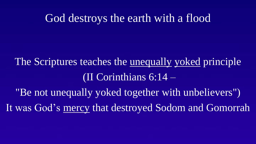## God destroys the earth with a flood

The Scriptures teaches the <u>unequally yoked</u> principle (II Corinthians 6:14 – "Be not unequally yoked together with unbelievers") It was God's mercy that destroyed Sodom and Gomorrah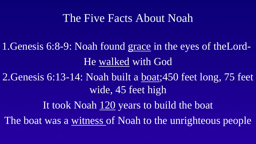1.Genesis 6:8-9: Noah found grace in the eyes of theLord-He walked with God

2.Genesis 6:13-14: Noah built a boat;450 feet long, 75 feet wide, 45 feet high

It took Noah 120 years to build the boat

The boat was a witness of Noah to the unrighteous people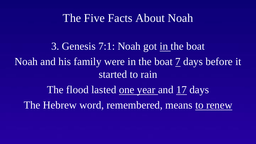3. Genesis 7:1: Noah got in the boat Noah and his family were in the boat 7 days before it started to rain

The flood lasted one year and 17 days The Hebrew word, remembered, means to renew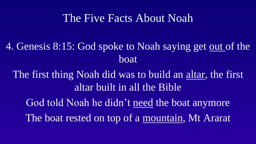4. Genesis 8:15: God spoke to Noah saying get out of the boat

The first thing Noah did was to build an altar, the first altar built in all the Bible

God told Noah he didn't need the boat anymore

The boat rested on top of a mountain, Mt Ararat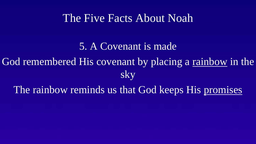# 5. A Covenant is made God remembered His covenant by placing a rainbow in the sky The rainbow reminds us that God keeps His promises